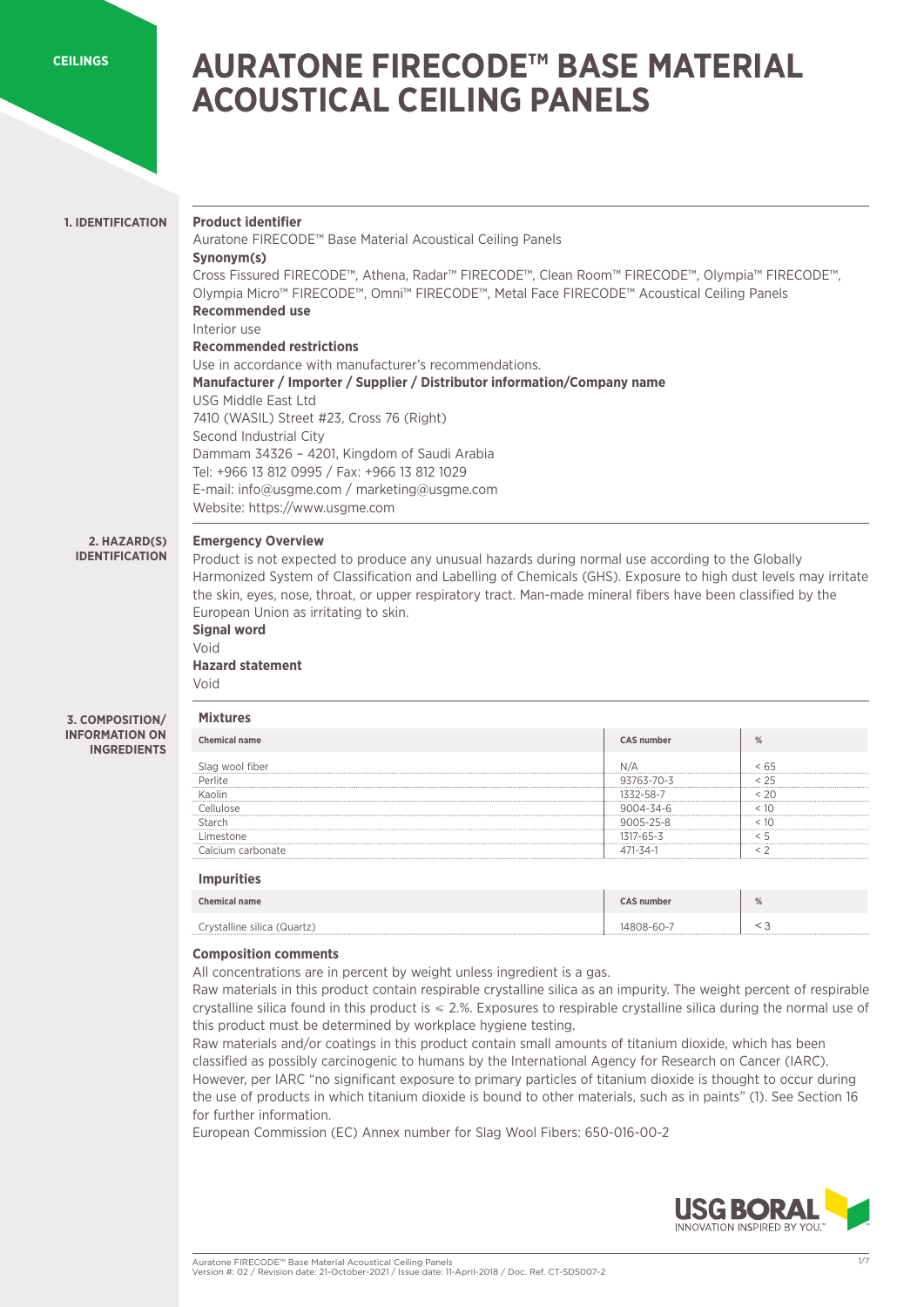**[CEILINGS](https://www.usgme.com/en/categories/ceilings)**

# **AURATONE FIRECODE™ BASE MATERIAL ACOUSTICAL CEILING PANELS**

# **1. IDENTIFICATION**

### **Product identifier**  Auratone FIRECODE™ Base Material Acoustical Ceiling Panels

**Synonym(s)** Cross Fissured FIRECODE™, Athena, Radar™ FIRECODE™, Clean Room™ FIRECODE™, Olympia™ FIRECODE™, Olympia Micro™ FIRECODE™, Omni™ FIRECODE™, Metal Face FIRECODE™ Acoustical Ceiling Panels

# **Recommended use**

Interior use

# **Recommended restrictions**

Use in accordance with manufacturer's recommendations. **Manufacturer / Importer / Supplier / Distributor information/Company name**  USG Middle East Ltd 7410 (WASIL) Street #23, Cross 76 (Right) Second Industrial City Dammam 34326 – 4201, Kingdom of Saudi Arabia Tel: +966 13 812 0995 / Fax: +966 13 812 1029 E-mail: info@usgme.com / marketing@usgme.com Website: https://www.usgme.com

# **2. HAZARD(S)**

**IDENTIFICATION**

# **Emergency Overview**

Product is not expected to produce any unusual hazards during normal use according to the Globally Harmonized System of Classification and Labelling of Chemicals (GHS). Exposure to high dust levels may irritate the skin, eyes, nose, throat, or upper respiratory tract. Man-made mineral fibers have been classified by the European Union as irritating to skin.

# **Signal word**  Void

**Mixtures**

**Hazard statement**  Void

#### **3. COMPOSITION/ INFORMATION ON INGREDIENTS**

| nical name | CAS number      | $\frac{0}{2}$ |
|------------|-----------------|---------------|
|            |                 |               |
|            | 93763-70-3      |               |
|            |                 |               |
|            |                 |               |
|            | $9005 - 25 - 8$ |               |
|            |                 |               |
|            |                 |               |
|            |                 |               |

# **Impurities**

| <b>Chemical name</b>        | <b>CAS number</b> | % |
|-----------------------------|-------------------|---|
| Crystalline silica (Quartz) | 14808-60-7        |   |

# **Composition comments**

All concentrations are in percent by weight unless ingredient is a gas.

Raw materials in this product contain respirable crystalline silica as an impurity. The weight percent of respirable crystalline silica found in this product is ≤ 2.%. Exposures to respirable crystalline silica during the normal use of this product must be determined by workplace hygiene testing.

Raw materials and/or coatings in this product contain small amounts of titanium dioxide, which has been classified as possibly carcinogenic to humans by the International Agency for Research on Cancer (IARC). However, per IARC "no significant exposure to primary particles of titanium dioxide is thought to occur during the use of products in which titanium dioxide is bound to other materials, such as in paints" (1). See Section 16 for further information.

European Commission (EC) Annex number for Slag Wool Fibers: 650-016-00-2

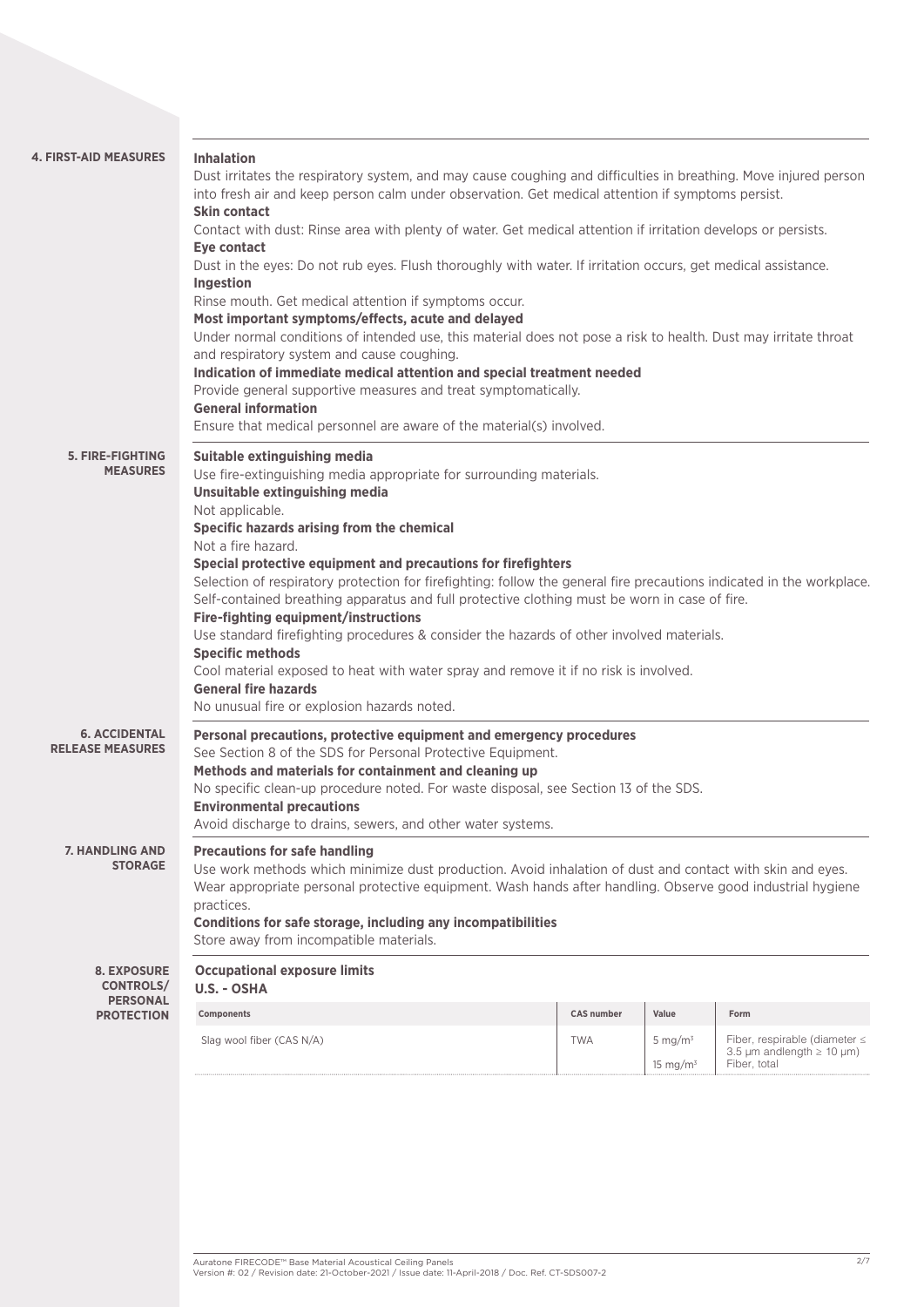| <b>4. FIRST-AID MEASURES</b>                                                                                                                                                    | <b>Inhalation</b><br>Dust irritates the respiratory system, and may cause coughing and difficulties in breathing. Move injured person<br>into fresh air and keep person calm under observation. Get medical attention if symptoms persist.<br><b>Skin contact</b><br>Contact with dust: Rinse area with plenty of water. Get medical attention if irritation develops or persists.<br><b>Eye contact</b><br>Dust in the eyes: Do not rub eyes. Flush thoroughly with water. If irritation occurs, get medical assistance.<br>Ingestion<br>Rinse mouth. Get medical attention if symptoms occur.<br>Most important symptoms/effects, acute and delayed<br>Under normal conditions of intended use, this material does not pose a risk to health. Dust may irritate throat<br>and respiratory system and cause coughing.<br>Indication of immediate medical attention and special treatment needed<br>Provide general supportive measures and treat symptomatically.<br><b>General information</b><br>Ensure that medical personnel are aware of the material(s) involved. |                   |       |      |  |
|---------------------------------------------------------------------------------------------------------------------------------------------------------------------------------|--------------------------------------------------------------------------------------------------------------------------------------------------------------------------------------------------------------------------------------------------------------------------------------------------------------------------------------------------------------------------------------------------------------------------------------------------------------------------------------------------------------------------------------------------------------------------------------------------------------------------------------------------------------------------------------------------------------------------------------------------------------------------------------------------------------------------------------------------------------------------------------------------------------------------------------------------------------------------------------------------------------------------------------------------------------------------|-------------------|-------|------|--|
| 5. FIRE-FIGHTING<br><b>MEASURES</b>                                                                                                                                             | Suitable extinguishing media<br>Use fire-extinguishing media appropriate for surrounding materials.<br>Unsuitable extinguishing media<br>Not applicable.<br>Specific hazards arising from the chemical<br>Not a fire hazard.<br>Special protective equipment and precautions for firefighters<br>Selection of respiratory protection for firefighting: follow the general fire precautions indicated in the workplace.<br>Self-contained breathing apparatus and full protective clothing must be worn in case of fire.<br><b>Fire-fighting equipment/instructions</b><br>Use standard firefighting procedures & consider the hazards of other involved materials.<br><b>Specific methods</b><br>Cool material exposed to heat with water spray and remove it if no risk is involved.<br><b>General fire hazards</b><br>No unusual fire or explosion hazards noted.                                                                                                                                                                                                      |                   |       |      |  |
| <b>6. ACCIDENTAL</b><br><b>RELEASE MEASURES</b>                                                                                                                                 | Personal precautions, protective equipment and emergency procedures<br>See Section 8 of the SDS for Personal Protective Equipment.<br>Methods and materials for containment and cleaning up<br>No specific clean-up procedure noted. For waste disposal, see Section 13 of the SDS.<br><b>Environmental precautions</b><br>Avoid discharge to drains, sewers, and other water systems.                                                                                                                                                                                                                                                                                                                                                                                                                                                                                                                                                                                                                                                                                   |                   |       |      |  |
| <b>7. HANDLING AND</b><br><b>STORAGE</b>                                                                                                                                        | <b>Precautions for safe handling</b><br>Use work methods which minimize dust production. Avoid inhalation of dust and contact with skin and eyes.<br>Wear appropriate personal protective equipment. Wash hands after handling. Observe good industrial hygiene<br>practices.<br>Conditions for safe storage, including any incompatibilities<br>Store away from incompatible materials.                                                                                                                                                                                                                                                                                                                                                                                                                                                                                                                                                                                                                                                                                 |                   |       |      |  |
| <b>8. EXPOSURE</b><br><b>CONTROLS/</b>                                                                                                                                          | <b>Occupational exposure limits</b><br>U.S. - OSHA                                                                                                                                                                                                                                                                                                                                                                                                                                                                                                                                                                                                                                                                                                                                                                                                                                                                                                                                                                                                                       |                   |       |      |  |
| <b>PERSONAL</b><br><b>PROTECTION</b>                                                                                                                                            | Components                                                                                                                                                                                                                                                                                                                                                                                                                                                                                                                                                                                                                                                                                                                                                                                                                                                                                                                                                                                                                                                               | <b>CAS number</b> | Value | Form |  |
| Slag wool fiber (CAS N/A)<br>Fiber, respirable (diameter $\leq$<br><b>TWA</b><br>5 mg/ $m3$<br>3.5 $\mu$ m andlength $\geq$ 10 $\mu$ m)<br>Fiber, total<br>15 mg/m <sup>3</sup> |                                                                                                                                                                                                                                                                                                                                                                                                                                                                                                                                                                                                                                                                                                                                                                                                                                                                                                                                                                                                                                                                          |                   |       |      |  |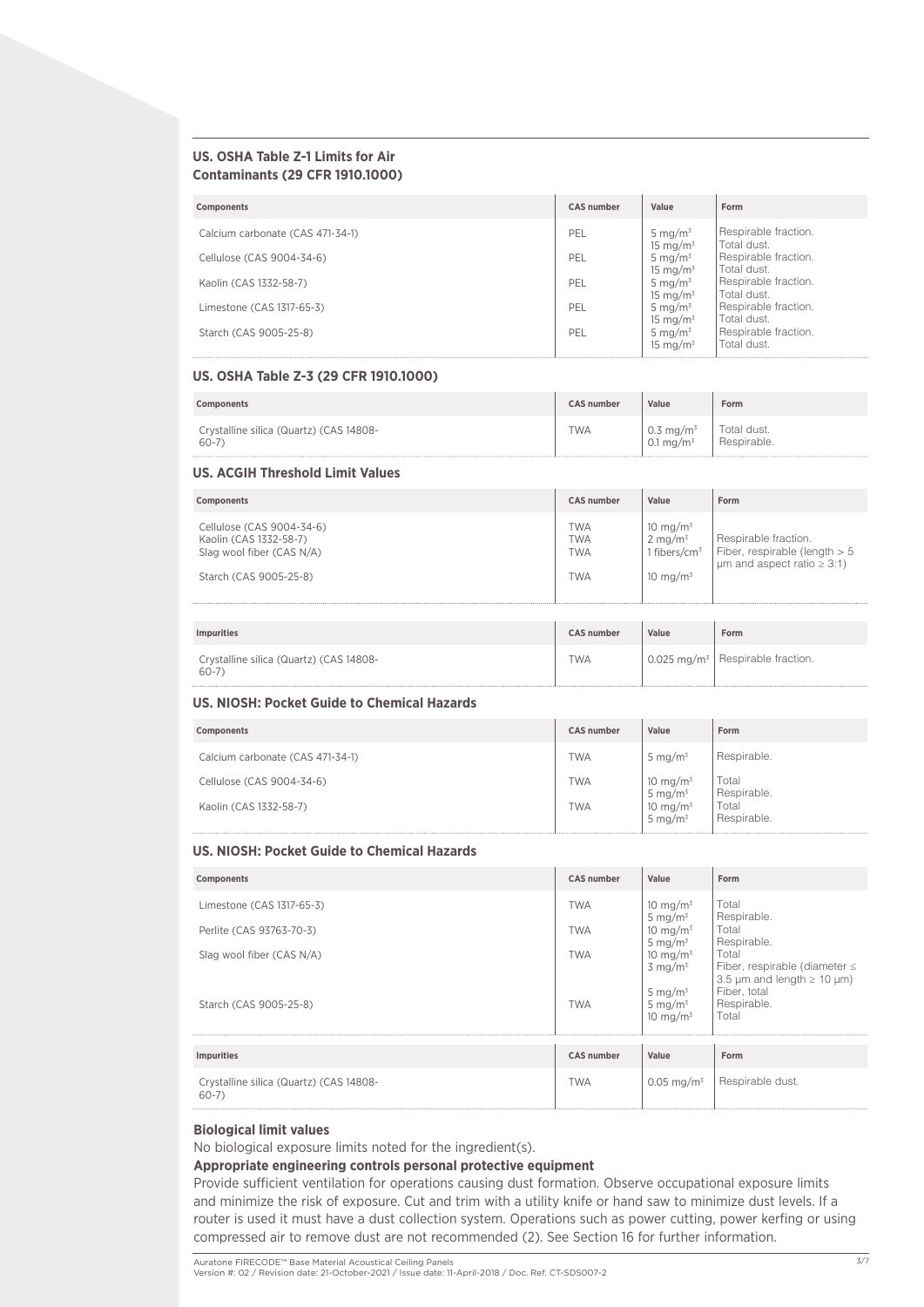### **US. OSHA Table Z-1 Limits for Air Contaminants (29 CFR 1910.1000)**

| <b>Components</b>                | <b>CAS number</b> | Value                              | Form                                |
|----------------------------------|-------------------|------------------------------------|-------------------------------------|
| Calcium carbonate (CAS 471-34-1) | PEL               | 5 mg/m <sup>3</sup><br>15 mg/m $3$ | Respirable fraction.<br>Total dust. |
| Cellulose (CAS 9004-34-6)        | PEL               | 5 mg/ $m^3$<br>15 mg/m $3$         | Respirable fraction.<br>Total dust. |
| Kaolin (CAS 1332-58-7)           | PEL               | 5 mg/ $m^3$<br>15 mg/ $m3$         | Respirable fraction.<br>Total dust. |
| Limestone (CAS 1317-65-3)        | PEL               | 5 mg/ $m3$<br>15 mg/ $m3$          | Respirable fraction.<br>Total dust. |
| Starch (CAS 9005-25-8)           | PEL               | 5 mg/ $m3$<br>15 mg/m $3$          | Respirable fraction.<br>Total dust. |

#### **US. OSHA Table Z-3 (29 CFR 1910.1000)**

| Components                              | <b>CAS number</b> | Value                 | Form        |
|-----------------------------------------|-------------------|-----------------------|-------------|
| Crystalline silica (Quartz) (CAS 14808- | <b>TWA</b>        | 0.3 mg/m <sup>3</sup> | Total dust. |
| 60-7                                    |                   | 0.1 mg/m <sup>3</sup> | Respirable. |

# **US. ACGIH Threshold Limit Values**

| Components                                                                                                 | <b>CAS number</b>                                    | Value                                                                        | Form                                                                                          |
|------------------------------------------------------------------------------------------------------------|------------------------------------------------------|------------------------------------------------------------------------------|-----------------------------------------------------------------------------------------------|
| Cellulose (CAS 9004-34-6)<br>Kaolin (CAS 1332-58-7)<br>Slag wool fiber (CAS N/A)<br>Starch (CAS 9005-25-8) | <b>TWA</b><br><b>TWA</b><br><b>TWA</b><br><b>TWA</b> | 10 mg/m $3$<br>$2 \text{ mg/m}^3$<br>1 fibers/cm <sup>3</sup><br>10 mg/m $3$ | Respirable fraction.<br>Fiber, respirable (length > 5<br>$\mu$ m and aspect ratio $\geq$ 3:1) |
| <b>Impurities</b>                                                                                          | <b>CAS number</b>                                    | Value                                                                        | Form                                                                                          |
| Crystalline silica (Quartz) (CAS 14808-<br>$60 - 7$                                                        | <b>TWA</b>                                           |                                                                              | 0.025 mg/m <sup>3</sup>   Respirable fraction.                                                |

### **US. NIOSH: Pocket Guide to Chemical Hazards**

| Components                       | <b>CAS number</b> | Value                              | Form                 |
|----------------------------------|-------------------|------------------------------------|----------------------|
| Calcium carbonate (CAS 471-34-1) | <b>TWA</b>        | 5 mg/m $3$                         | Respirable.          |
| Cellulose (CAS 9004-34-6)        | <b>TWA</b>        | 10 mg/m <sup>3</sup><br>5 mg/m $3$ | Total<br>Respirable. |
| Kaolin (CAS 1332-58-7)           | <b>TWA</b>        | 10 mg/m $3$<br>5 mg/m $3$          | Total<br>Respirable. |

### **US. NIOSH: Pocket Guide to Chemical Hazards**

| Components                                          | <b>CAS number</b> | Value                                   | Form                                                                              |
|-----------------------------------------------------|-------------------|-----------------------------------------|-----------------------------------------------------------------------------------|
| Limestone (CAS 1317-65-3)                           | <b>TWA</b>        | 10 mg/m $3$<br>5 mg/m $3$               | Total<br>Respirable.                                                              |
| Perlite (CAS 93763-70-3)                            | <b>TWA</b>        | 10 mg/m $3$<br>5 mg/m $3$               | Total<br>Respirable.                                                              |
| Slag wool fiber (CAS N/A)                           | <b>TWA</b>        | 10 mg/m $3$<br>$3 \text{ ma/m}^3$       | Total<br>Fiber, respirable (diameter $\leq$                                       |
| Starch (CAS 9005-25-8)                              | <b>TWA</b>        | 5 mg/m $3$<br>5 mg/m $3$<br>10 mg/ $m3$ | 3.5 $\mu$ m and length $\geq$ 10 $\mu$ m)<br>Fiber, total<br>Respirable.<br>Total |
| <b>Impurities</b>                                   | <b>CAS number</b> | Value                                   | Form                                                                              |
| Crystalline silica (Quartz) (CAS 14808-<br>$60 - 7$ | <b>TWA</b>        | $0.05 \text{ ma/m}^3$                   | Respirable dust.                                                                  |

# **Biological limit values**

No biological exposure limits noted for the ingredient(s).

# **Appropriate engineering controls personal protective equipment**

Provide sufficient ventilation for operations causing dust formation. Observe occupational exposure limits and minimize the risk of exposure. Cut and trim with a utility knife or hand saw to minimize dust levels. If a router is used it must have a dust collection system. Operations such as power cutting, power kerfing or using compressed air to remove dust are not recommended (2). See Section 16 for further information.

Auratone FIRECODE™ Base Material Acoustical Ceiling Panels<br>Version #: 02 / Revision date: 21-October-2021 / Issue date: 11-April-2018 / Doc. Ref. CT-SDS007-2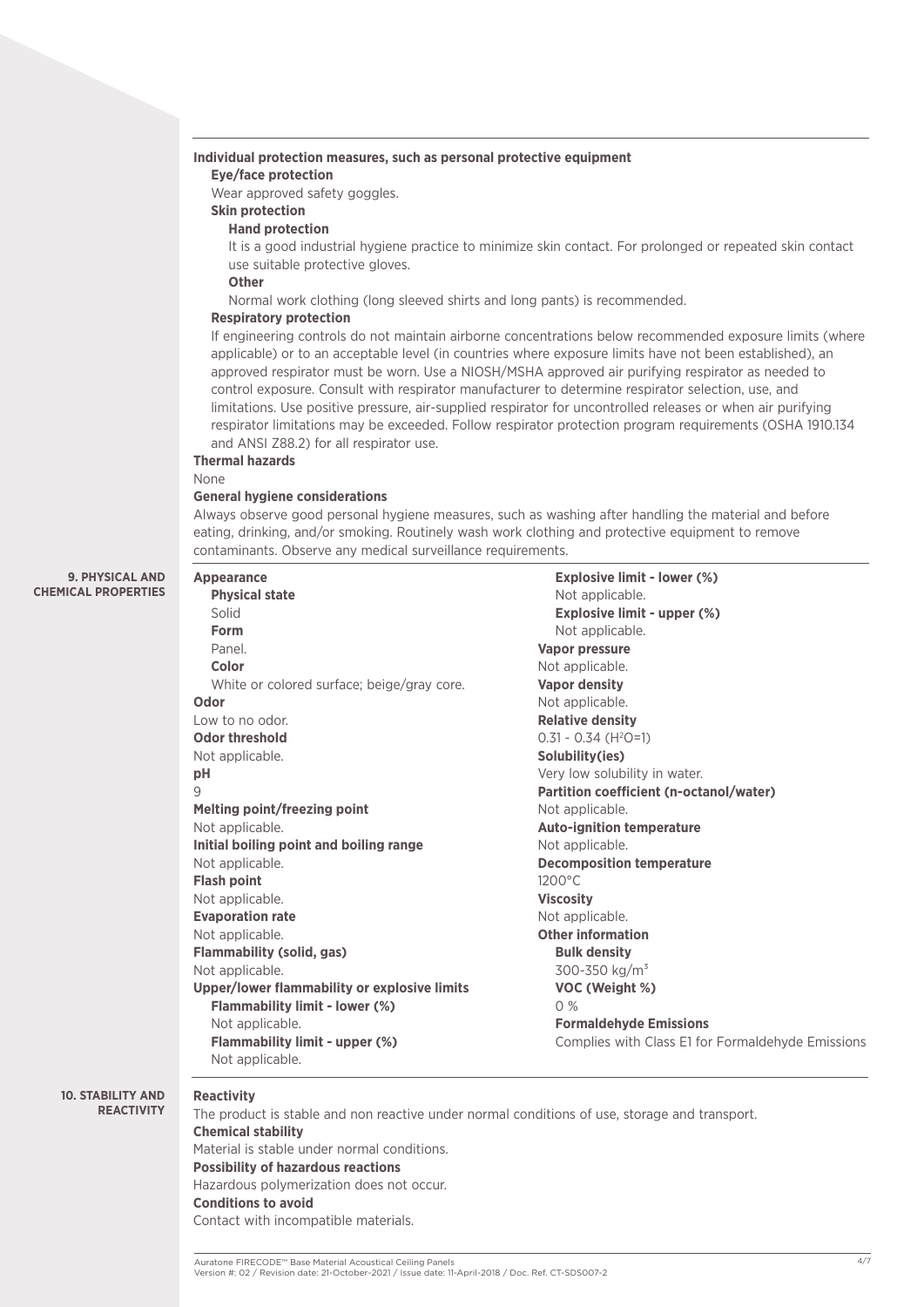### **Individual protection measures, such as personal protective equipment**

### **Eye/face protection**

Wear approved safety goggles.

# **Skin protection**

# **Hand protection**

It is a good industrial hygiene practice to minimize skin contact. For prolonged or repeated skin contact use suitable protective gloves.

### **Other**

Normal work clothing (long sleeved shirts and long pants) is recommended.

### **Respiratory protection**

If engineering controls do not maintain airborne concentrations below recommended exposure limits (where applicable) or to an acceptable level (in countries where exposure limits have not been established), an approved respirator must be worn. Use a NIOSH/MSHA approved air purifying respirator as needed to control exposure. Consult with respirator manufacturer to determine respirator selection, use, and limitations. Use positive pressure, air-supplied respirator for uncontrolled releases or when air purifying respirator limitations may be exceeded. Follow respirator protection program requirements (OSHA 1910.134 and ANSI Z88.2) for all respirator use.

### **Thermal hazards**

#### None

### **General hygiene considerations**

Always observe good personal hygiene measures, such as washing after handling the material and before eating, drinking, and/or smoking. Routinely wash work clothing and protective equipment to remove contaminants. Observe any medical surveillance requirements.

### **9. PHYSICAL AND CHEMICAL PROPERTIES**

| <b>Appearance</b>                            | <b>Explosive limit - lower (%)</b>                |
|----------------------------------------------|---------------------------------------------------|
| <b>Physical state</b>                        | Not applicable.                                   |
| Solid                                        | Explosive limit - upper (%)                       |
| Form                                         | Not applicable.                                   |
| Panel.                                       | <b>Vapor pressure</b>                             |
| Color                                        | Not applicable.                                   |
| White or colored surface; beige/gray core.   | <b>Vapor density</b>                              |
| Odor                                         | Not applicable.                                   |
| Low to no odor.                              | <b>Relative density</b>                           |
| <b>Odor threshold</b>                        | $0.31 - 0.34$ (H <sup>2</sup> O=1)                |
| Not applicable.                              | Solubility(ies)                                   |
| рH                                           | Very low solubility in water.                     |
| 9                                            | Partition coefficient (n-octanol/water)           |
| Melting point/freezing point                 | Not applicable.                                   |
| Not applicable.                              | <b>Auto-ignition temperature</b>                  |
| Initial boiling point and boiling range      | Not applicable.                                   |
| Not applicable.                              | <b>Decomposition temperature</b>                  |
| <b>Flash point</b>                           | $1200^{\circ}$ C                                  |
| Not applicable.                              | <b>Viscosity</b>                                  |
| <b>Evaporation rate</b>                      | Not applicable.                                   |
| Not applicable.                              | <b>Other information</b>                          |
| Flammability (solid, gas)                    | <b>Bulk density</b>                               |
| Not applicable.                              | $300 - 350$ kg/m <sup>3</sup>                     |
| Upper/lower flammability or explosive limits | VOC (Weight %)                                    |
| Flammability limit - lower (%)               | 0%                                                |
| Not applicable.                              | <b>Formaldehyde Emissions</b>                     |
| Flammability limit - upper (%)               | Complies with Class E1 for Formaldehyde Emissions |
| Not applicable.                              |                                                   |

#### **10. STABILITY AND REACTIVITY**

# **Reactivity**

The product is stable and non reactive under normal conditions of use, storage and transport. **Chemical stability**  Material is stable under normal conditions. **Possibility of hazardous reactions** Hazardous polymerization does not occur. **Conditions to avoid**  Contact with incompatible materials.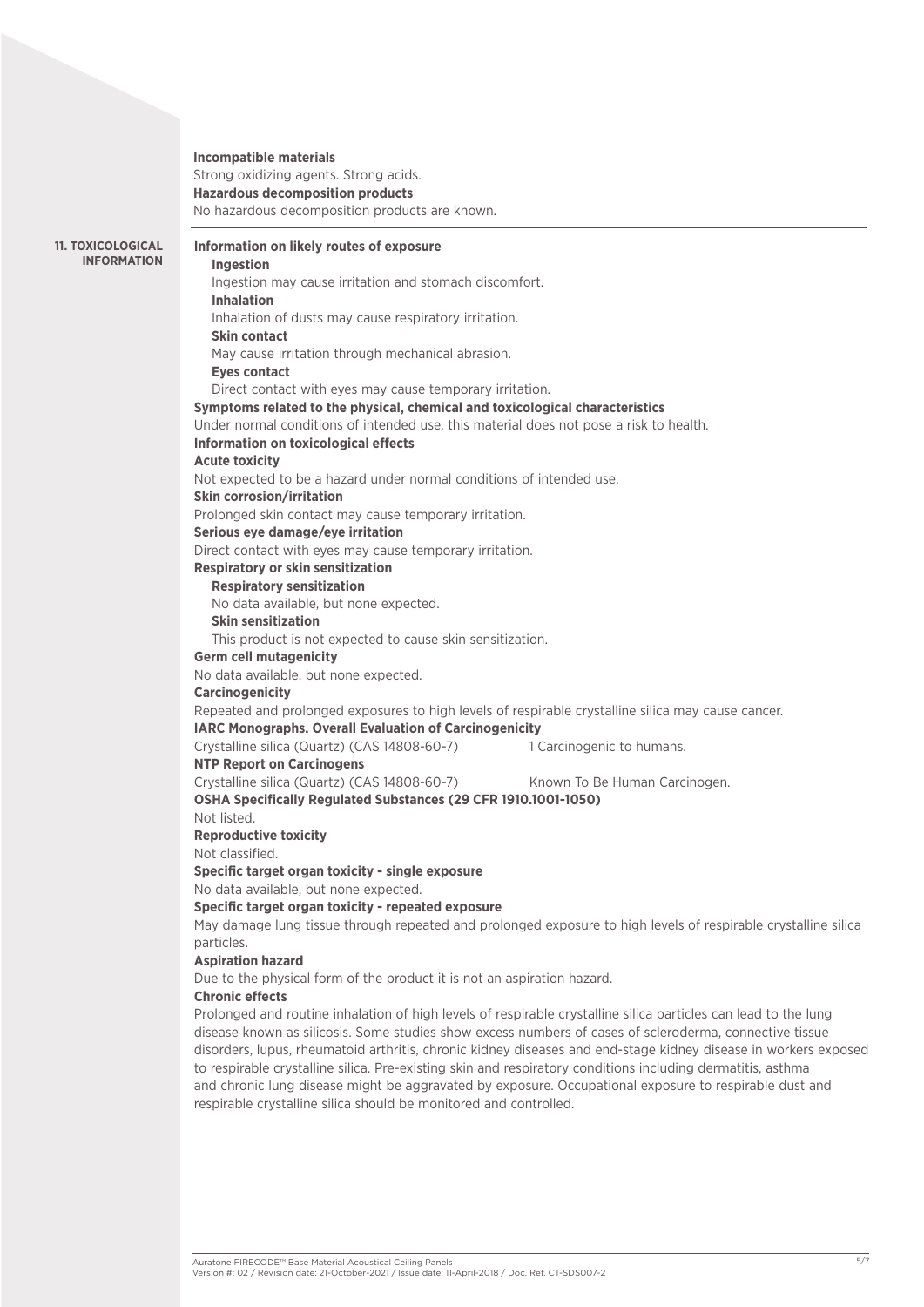### **Incompatible materials**

Strong oxidizing agents. Strong acids. **Hazardous decomposition products** No hazardous decomposition products are known.

**11. TOXICOLOGICAL INFORMATION**

### **Information on likely routes of exposure**

**Ingestion**  Ingestion may cause irritation and stomach discomfort. **Inhalation** Inhalation of dusts may cause respiratory irritation. **Skin contact** May cause irritation through mechanical abrasion. **Eyes contact** Direct contact with eyes may cause temporary irritation. **Symptoms related to the physical, chemical and toxicological characteristics** Under normal conditions of intended use, this material does not pose a risk to health. **Information on toxicological effects Acute toxicity**  Not expected to be a hazard under normal conditions of intended use. **Skin corrosion/irritation**  Prolonged skin contact may cause temporary irritation. **Serious eye damage/eye irritation** Direct contact with eyes may cause temporary irritation. **Respiratory or skin sensitization Respiratory sensitization**  No data available, but none expected. **Skin sensitization**  This product is not expected to cause skin sensitization. **Germ cell mutagenicity**  No data available, but none expected. **Carcinogenicity**  Repeated and prolonged exposures to high levels of respirable crystalline silica may cause cancer. **IARC Monographs. Overall Evaluation of Carcinogenicity**  Crystalline silica (Quartz) (CAS 14808-60-7) 1 Carcinogenic to humans. **NTP Report on Carcinogens**  Crystalline silica (Quartz) (CAS 14808-60-7) Known To Be Human Carcinogen. **OSHA Specifically Regulated Substances (29 CFR 1910.1001-1050)** Not listed. **Reproductive toxicity**  Not classified. **Specific target organ toxicity - single exposure** No data available, but none expected. **Specific target organ toxicity - repeated exposure** May damage lung tissue through repeated and prolonged exposure to high levels of respirable crystalline silica particles. **Aspiration hazard**  Due to the physical form of the product it is not an aspiration hazard. **Chronic effects**

Prolonged and routine inhalation of high levels of respirable crystalline silica particles can lead to the lung disease known as silicosis. Some studies show excess numbers of cases of scleroderma, connective tissue disorders, lupus, rheumatoid arthritis, chronic kidney diseases and end-stage kidney disease in workers exposed to respirable crystalline silica. Pre-existing skin and respiratory conditions including dermatitis, asthma and chronic lung disease might be aggravated by exposure. Occupational exposure to respirable dust and respirable crystalline silica should be monitored and controlled.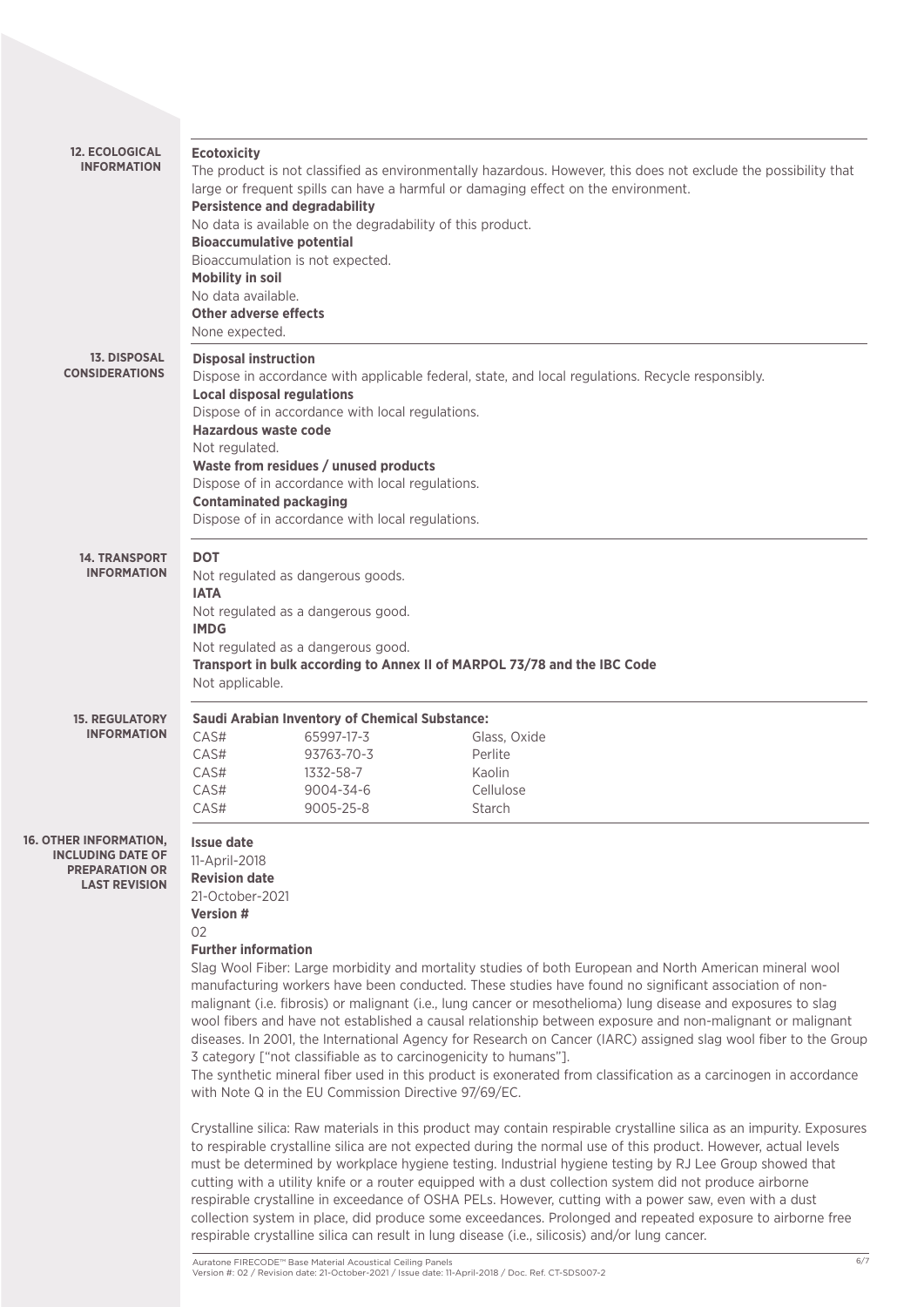| <b>12. ECOLOGICAL</b><br><b>INFORMATION</b>                                                     | <b>Ecotoxicity</b><br><b>Persistence and degradability</b><br><b>Bioaccumulative potential</b><br>Bioaccumulation is not expected.<br><b>Mobility in soil</b><br>No data available.<br><b>Other adverse effects</b><br>None expected. | No data is available on the degradability of this product.                                                                                                                                        | The product is not classified as environmentally hazardous. However, this does not exclude the possibility that<br>large or frequent spills can have a harmful or damaging effect on the environment.                                                                                                                                                                                                                                                                                                                                                                                                                                                                                                                                                                                                                                                                                                                                                                                                                                                                                                                                                                                                                                                                                                                                                                                                                                                                                |
|-------------------------------------------------------------------------------------------------|---------------------------------------------------------------------------------------------------------------------------------------------------------------------------------------------------------------------------------------|---------------------------------------------------------------------------------------------------------------------------------------------------------------------------------------------------|--------------------------------------------------------------------------------------------------------------------------------------------------------------------------------------------------------------------------------------------------------------------------------------------------------------------------------------------------------------------------------------------------------------------------------------------------------------------------------------------------------------------------------------------------------------------------------------------------------------------------------------------------------------------------------------------------------------------------------------------------------------------------------------------------------------------------------------------------------------------------------------------------------------------------------------------------------------------------------------------------------------------------------------------------------------------------------------------------------------------------------------------------------------------------------------------------------------------------------------------------------------------------------------------------------------------------------------------------------------------------------------------------------------------------------------------------------------------------------------|
| <b>13. DISPOSAL</b><br><b>CONSIDERATIONS</b>                                                    | <b>Disposal instruction</b><br><b>Local disposal regulations</b><br>Hazardous waste code<br>Not regulated.<br><b>Contaminated packaging</b>                                                                                           | Dispose of in accordance with local regulations.<br>Waste from residues / unused products<br>Dispose of in accordance with local regulations.<br>Dispose of in accordance with local regulations. | Dispose in accordance with applicable federal, state, and local regulations. Recycle responsibly.                                                                                                                                                                                                                                                                                                                                                                                                                                                                                                                                                                                                                                                                                                                                                                                                                                                                                                                                                                                                                                                                                                                                                                                                                                                                                                                                                                                    |
| <b>14. TRANSPORT</b><br><b>INFORMATION</b>                                                      | <b>DOT</b><br><b>IATA</b><br><b>IMDG</b><br>Not applicable.                                                                                                                                                                           | Not regulated as dangerous goods.<br>Not regulated as a dangerous good.<br>Not regulated as a dangerous good.                                                                                     | Transport in bulk according to Annex II of MARPOL 73/78 and the IBC Code                                                                                                                                                                                                                                                                                                                                                                                                                                                                                                                                                                                                                                                                                                                                                                                                                                                                                                                                                                                                                                                                                                                                                                                                                                                                                                                                                                                                             |
| <b>15. REGULATORY</b><br><b>INFORMATION</b>                                                     | CAS#<br>CAS#<br>CAS#<br>CAS#<br>CAS#                                                                                                                                                                                                  | <b>Saudi Arabian Inventory of Chemical Substance:</b><br>65997-17-3<br>93763-70-3<br>1332-58-7<br>9004-34-6<br>9005-25-8                                                                          | Glass, Oxide<br>Perlite<br>Kaolin<br>Cellulose<br>Starch                                                                                                                                                                                                                                                                                                                                                                                                                                                                                                                                                                                                                                                                                                                                                                                                                                                                                                                                                                                                                                                                                                                                                                                                                                                                                                                                                                                                                             |
| OTHER INFORMATION,<br><b>INCLUDING DATE OF</b><br><b>PREPARATION OR</b><br><b>LAST REVISION</b> | <b>Issue date</b><br>11-April-2018<br><b>Revision date</b><br>21-October-2021<br>Version #<br>02<br><b>Further information</b>                                                                                                        | 3 category ["not classifiable as to carcinogenicity to humans"].<br>with Note Q in the EU Commission Directive 97/69/EC.                                                                          | Slag Wool Fiber: Large morbidity and mortality studies of both European and North American mineral wool<br>manufacturing workers have been conducted. These studies have found no significant association of non-<br>malignant (i.e. fibrosis) or malignant (i.e., lung cancer or mesothelioma) lung disease and exposures to slag<br>wool fibers and have not established a causal relationship between exposure and non-malignant or malignant<br>diseases. In 2001, the International Agency for Research on Cancer (IARC) assigned slag wool fiber to the Group<br>The synthetic mineral fiber used in this product is exonerated from classification as a carcinogen in accordance<br>Crystalline silica: Raw materials in this product may contain respirable crystalline silica as an impurity. Exposures<br>to respirable crystalline silica are not expected during the normal use of this product. However, actual levels<br>must be determined by workplace hygiene testing. Industrial hygiene testing by RJ Lee Group showed that<br>cutting with a utility knife or a router equipped with a dust collection system did not produce airborne<br>respirable crystalline in exceedance of OSHA PELs. However, cutting with a power saw, even with a dust<br>collection system in place, did produce some exceedances. Prolonged and repeated exposure to airborne free<br>respirable crystalline silica can result in lung disease (i.e., silicosis) and/or lung cancer. |

 $16.$